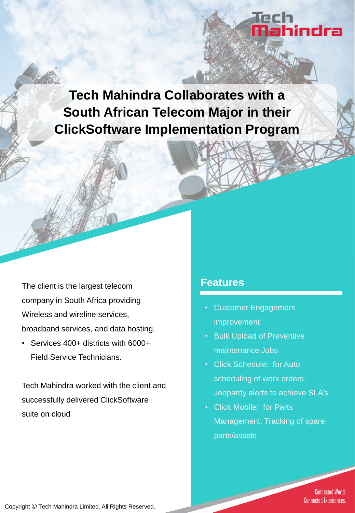**Tech Mahindra Collaborates with a South African Telecom Major in their ClickSoftware Implementation Program**

The client is the largest telecom company in South Africa providing Wireless and wireline services, broadband services, and data hosting.

• Services 400+ districts with 6000+ Field Service Technicians.

Tech Mahindra worked with the client and successfully delivered ClickSoftware suite on cloud

### **Features**

- Customer Engagement improvement
- Bulk Upload of Preventive maintenance Jobs
- Click Schedule: for Auto scheduling of work orders, Jeopardy alerts to achieve SLA's

Tech<br><mark>Ma</mark>hindra

• Click Mobile: for Parts Management, Tracking of spare parts/assets

> **Connected World. Connected Experiences.**

Copyright © Tech Mahindra Limited. All Rights Reserved.